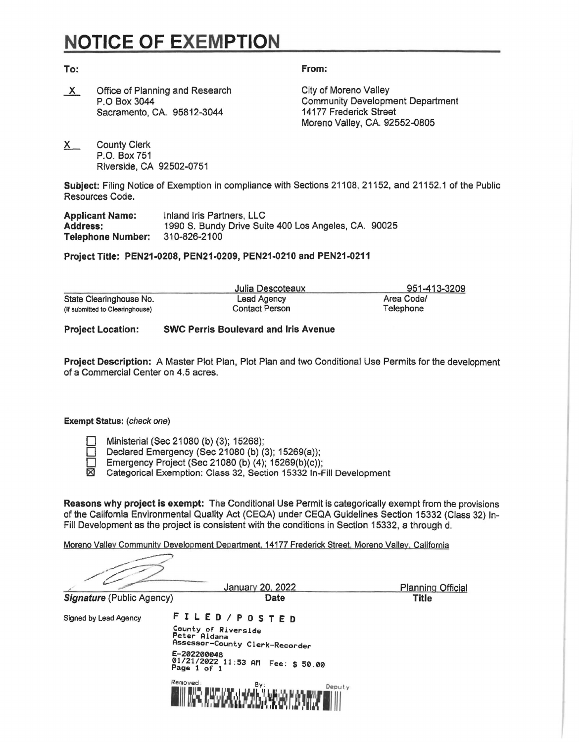## **NOTICE OF EXEMPTION**

**To: From:** 

X Office of Planning and Research City of Moreno Valley P.O Box 3044 Sacramento, CA. 95812-3044

Community Development Department 14177 Frederick Street Moreno Valley, CA. 92552-0805

X County Clerk P.O. Box 751 Riverside, CA 92502-0751

**Subject:** Filing Notice of Exemption in compliance with Sections 21108, 21152, and 21152.1 of the Public Resources Code.

| <b>Applicant Name:</b>   | Inland Iris Partners, LLC                            |  |
|--------------------------|------------------------------------------------------|--|
| <b>Address:</b>          | 1990 S. Bundy Drive Suite 400 Los Angeles, CA. 90025 |  |
| <b>Telephone Number:</b> | 310-826-2100                                         |  |

**Project Title: PEN21-0208, PEN21-0209, PEN21-0210 and PEN21-0211** 

|                                 | Julia Descoteaux      | 951-413-3209 |  |
|---------------------------------|-----------------------|--------------|--|
| State Clearinghouse No.         | Lead Agency           | Area Code/   |  |
| (If submitted to Clearinghouse) | <b>Contact Person</b> | Telephone    |  |

**Project Location: SWC Perris Boulevard and Iris Avenue** 

**Project Description:** A Master Plot Plan, Plot Plan and two Conditional Use Permits for the development of a Commercial Center on 4.5 acres.

## **Exempt Status:** (check one)

Ministerial (Sec 21080 (b) (3); 15268);

Declared Emergency (Sec 21080 (b) (3); 15269(a));<br>Demergency Project (Sec 21080 (b) (4): 15269(b)(c));

Emergency Project (Sec 21080 (b)  $(4)$ ; 15269(b) $(c)$ );<br> $\boxtimes$  Categorical Exemption: Class 32, Section 15332 In-

Categorical Exemption: Class 32, Section 15332 In-Fill Development

**Reasons why project is exempt:** The Conditional Use Permit is categorically exempt from the provisions of the California Environmental Quality Act (CEQA) under CEQA Guidelines Section 15332 (Class 32) In-Fill Development as the project is consistent with the conditions in Section 15332, a through d.

Moreno Valley Community Development Department, 14177 Frederick Street, Moreno Valley, California --7 pment as the project is consistent with the conditions in Section 15332, a through d.<br>
<u>ley Community Development Department, 14177 Frederick Street, Moreno Valley, California</u><br> **January 20, 2022** Planning Official<br>
Public

Experimental evelopment as the project<br>
and Valley Community Develop<br>
and Valley Community Develop<br>
and Valley Chublic Agency

**Signature** (Public Agency) **Date Date Date Title** 

Signed by Lead Agency F I L **E D** / P O S T **E D** 

County of Riverside Peter Aldana Assessor-County Clerk-Recorder E-202200048 01/21/2022 11:53 AM Fee: \$ 50 00 Page 1 of 1 ·